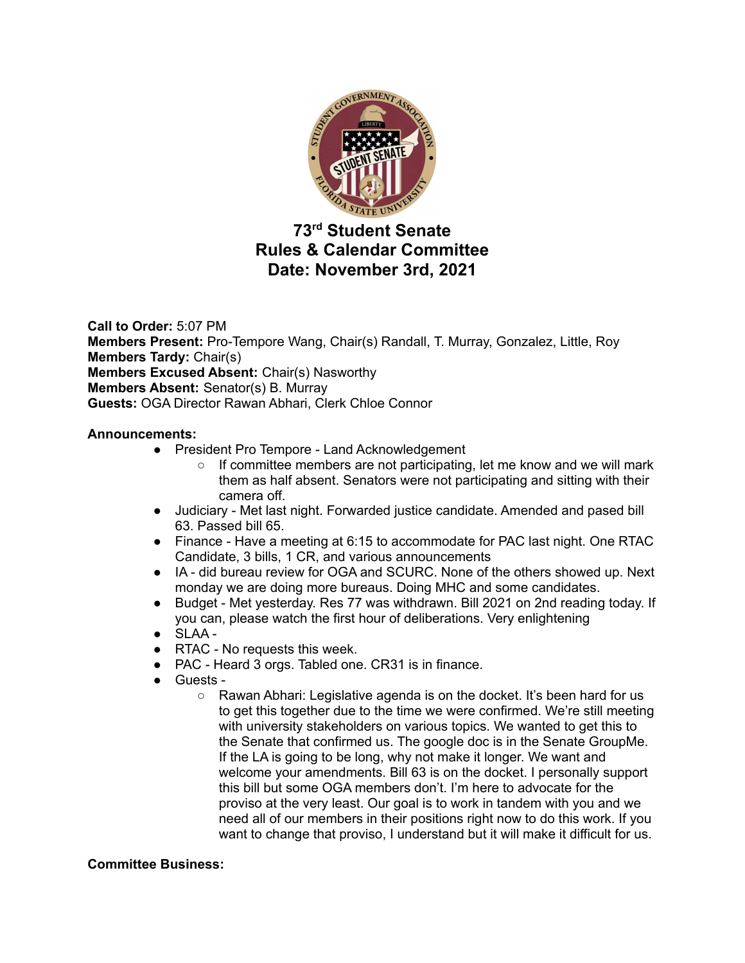

# **73 rd Student Senate Rules & Calendar Committee Date: November 3rd, 2021**

**Call to Order:** 5:07 PM **Members Present:** Pro-Tempore Wang, Chair(s) Randall, T. Murray, Gonzalez, Little, Roy **Members Tardy:** Chair(s) **Members Excused Absent:** Chair(s) Nasworthy **Members Absent:** Senator(s) B. Murray **Guests:** OGA Director Rawan Abhari, Clerk Chloe Connor

## **Announcements:**

- President Pro Tempore Land Acknowledgement
	- $\circ$  If committee members are not participating, let me know and we will mark them as half absent. Senators were not participating and sitting with their camera off.
- Judiciary Met last night. Forwarded justice candidate. Amended and pased bill 63. Passed bill 65.
- Finance Have a meeting at 6:15 to accommodate for PAC last night. One RTAC Candidate, 3 bills, 1 CR, and various announcements
- IA did bureau review for OGA and SCURC. None of the others showed up. Next monday we are doing more bureaus. Doing MHC and some candidates.
- Budget Met yesterday. Res 77 was withdrawn. Bill 2021 on 2nd reading today. If you can, please watch the first hour of deliberations. Very enlightening
- SLAA -
- RTAC No requests this week.
- PAC Heard 3 orgs. Tabled one. CR31 is in finance.
- Guests
	- Rawan Abhari: Legislative agenda is on the docket. It's been hard for us to get this together due to the time we were confirmed. We're still meeting with university stakeholders on various topics. We wanted to get this to the Senate that confirmed us. The google doc is in the Senate GroupMe. If the LA is going to be long, why not make it longer. We want and welcome your amendments. Bill 63 is on the docket. I personally support this bill but some OGA members don't. I'm here to advocate for the proviso at the very least. Our goal is to work in tandem with you and we need all of our members in their positions right now to do this work. If you want to change that proviso, I understand but it will make it difficult for us.

### **Committee Business:**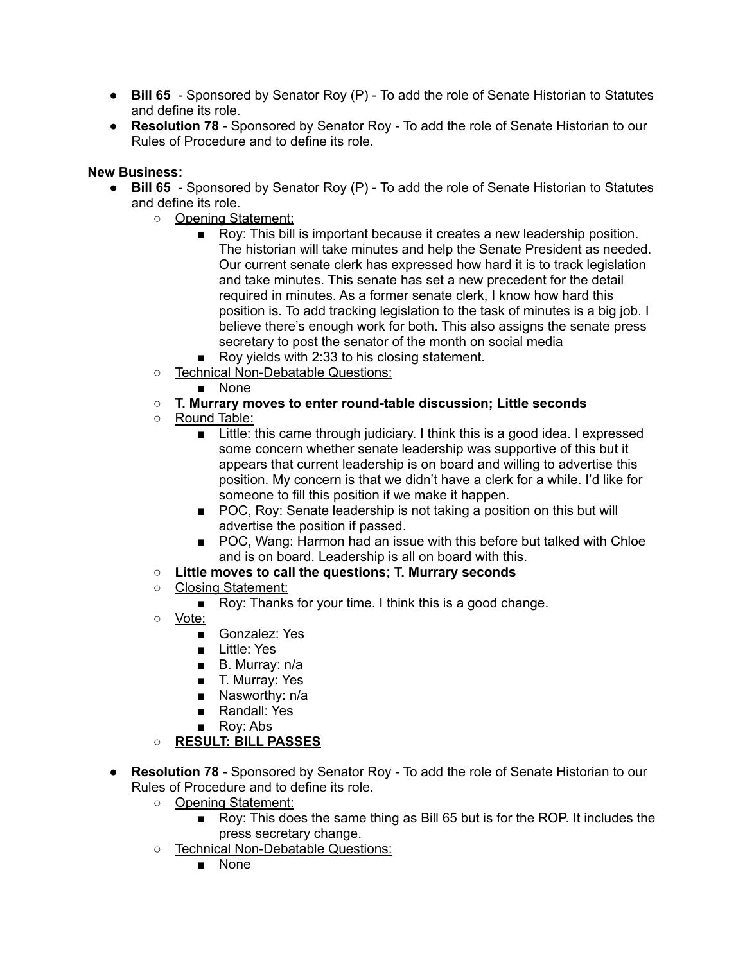- **Bill 65** Sponsored by Senator Roy (P) To add the role of Senate Historian to Statutes and define its role.
- **Resolution 78** Sponsored by Senator Roy To add the role of Senate Historian to our Rules of Procedure and to define its role.

# **New Business:**

- **Bill 65** Sponsored by Senator Roy (P) To add the role of Senate Historian to Statutes and define its role.
	- Opening Statement:
		- Roy: This bill is important because it creates a new leadership position. The historian will take minutes and help the Senate President as needed. Our current senate clerk has expressed how hard it is to track legislation and take minutes. This senate has set a new precedent for the detail required in minutes. As a former senate clerk, I know how hard this position is. To add tracking legislation to the task of minutes is a big job. I believe there's enough work for both. This also assigns the senate press secretary to post the senator of the month on social media
		- Roy yields with 2:33 to his closing statement.
	- Technical Non-Debatable Questions:
		- None
	- **○ T. Murrary moves to enter round-table discussion; Little seconds**
	- o Round Table:
		- Little: this came through judiciary. I think this is a good idea. I expressed some concern whether senate leadership was supportive of this but it appears that current leadership is on board and willing to advertise this position. My concern is that we didn't have a clerk for a while. I'd like for someone to fill this position if we make it happen.
		- POC, Roy: Senate leadership is not taking a position on this but will advertise the position if passed.
		- POC, Wang: Harmon had an issue with this before but talked with Chloe and is on board. Leadership is all on board with this.
	- **○ Little moves to call the questions; T. Murrary seconds**
	- Closing Statement:
		- Roy: Thanks for your time. I think this is a good change.
	- Vote:
		- Gonzalez: Yes
		- Little: Yes
		- B. Murray: n/a
		- T. Murray: Yes
		- Nasworthy: n/a
		- Randall: Yes
		- Roy: Abs
	- **○ RESULT: BILL PASSES**
- **Resolution 78** Sponsored by Senator Roy To add the role of Senate Historian to our Rules of Procedure and to define its role.
	- Opening Statement:
		- Roy: This does the same thing as Bill 65 but is for the ROP. It includes the press secretary change.
	- Technical Non-Debatable Questions:
		- None